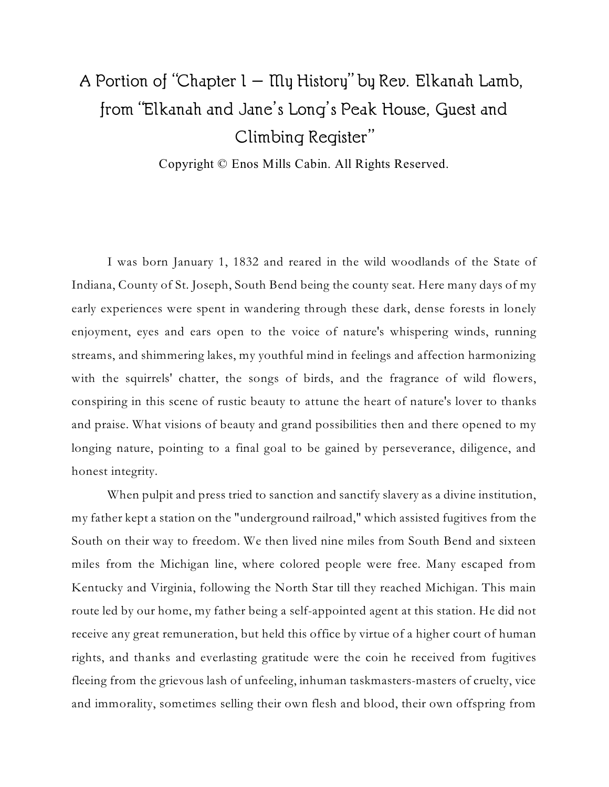## A Portion of "Chapter  $1 - \text{My History}$ " by Rev. Elkanah Lamb, from "Elkanah and Jane's Long's Peak House, Guest and Climbing Register"

Copyright © Enos Mills Cabin. All Rights Reserved.

I was born January 1, 1832 and reared in the wild woodlands of the State of Indiana, County of St. Joseph, South Bend being the county seat. Here many days of my early experiences were spent in wandering through these dark, dense forests in lonely enjoyment, eyes and ears open to the voice of nature's whispering winds, running streams, and shimmering lakes, my youthful mind in feelings and affection harmonizing with the squirrels' chatter, the songs of birds, and the fragrance of wild flowers, conspiring in this scene of rustic beauty to attune the heart of nature's lover to thanks and praise. What visions of beauty and grand possibilities then and there opened to my longing nature, pointing to a final goal to be gained by perseverance, diligence, and honest integrity.

When pulpit and press tried to sanction and sanctify slavery as a divine institution, my father kept a station on the "underground railroad," which assisted fugitives from the South on their way to freedom. We then lived nine miles from South Bend and sixteen miles from the Michigan line, where colored people were free. Many escaped from Kentucky and Virginia, following the North Star till they reached Michigan. This main route led by our home, my father being a self-appointed agent at this station. He did not receive any great remuneration, but held this office by virtue of a higher court of human rights, and thanks and everlasting gratitude were the coin he received from fugitives fleeing from the grievous lash of unfeeling, inhuman taskmasters-masters of cruelty, vice and immorality, sometimes selling their own flesh and blood, their own offspring from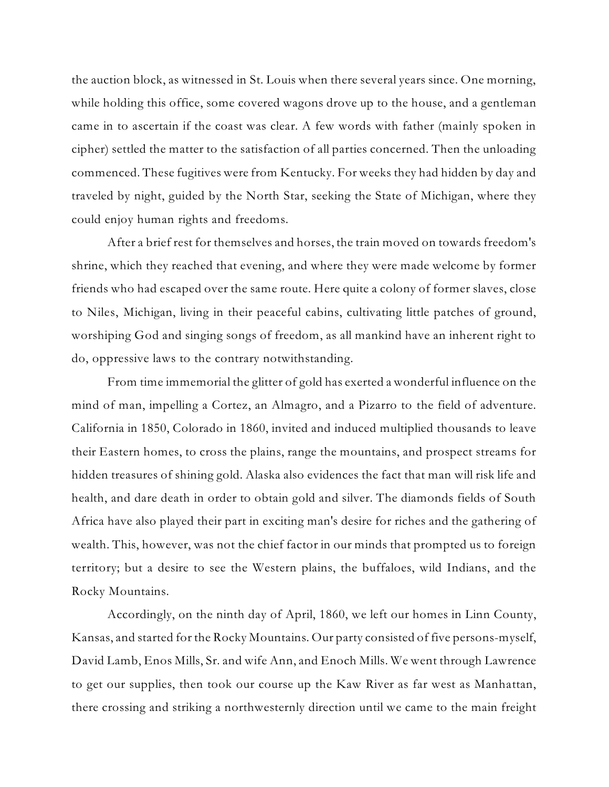the auction block, as witnessed in St. Louis when there several years since. One morning, while holding this office, some covered wagons drove up to the house, and a gentleman came in to ascertain if the coast was clear. A few words with father (mainly spoken in cipher) settled the matter to the satisfaction of all parties concerned. Then the unloading commenced. These fugitives were from Kentucky. For weeks they had hidden by day and traveled by night, guided by the North Star, seeking the State of Michigan, where they could enjoy human rights and freedoms.

After a brief rest for themselves and horses, the train moved on towards freedom's shrine, which they reached that evening, and where they were made welcome by former friends who had escaped over the same route. Here quite a colony of former slaves, close to Niles, Michigan, living in their peaceful cabins, cultivating little patches of ground, worshiping God and singing songs of freedom, as all mankind have an inherent right to do, oppressive laws to the contrary notwithstanding.

From time immemorial the glitter of gold has exerted a wonderful influence on the mind of man, impelling a Cortez, an Almagro, and a Pizarro to the field of adventure. California in 1850, Colorado in 1860, invited and induced multiplied thousands to leave their Eastern homes, to cross the plains, range the mountains, and prospect streams for hidden treasures of shining gold. Alaska also evidences the fact that man will risk life and health, and dare death in order to obtain gold and silver. The diamonds fields of South Africa have also played their part in exciting man's desire for riches and the gathering of wealth. This, however, was not the chief factor in our minds that prompted us to foreign territory; but a desire to see the Western plains, the buffaloes, wild Indians, and the Rocky Mountains.

Accordingly, on the ninth day of April, 1860, we left our homes in Linn County, Kansas, and started for the Rocky Mountains. Our party consisted of five persons-myself, David Lamb, Enos Mills, Sr. and wife Ann, and Enoch Mills. We went through Lawrence to get our supplies, then took our course up the Kaw River as far west as Manhattan, there crossing and striking a northwesternly direction until we came to the main freight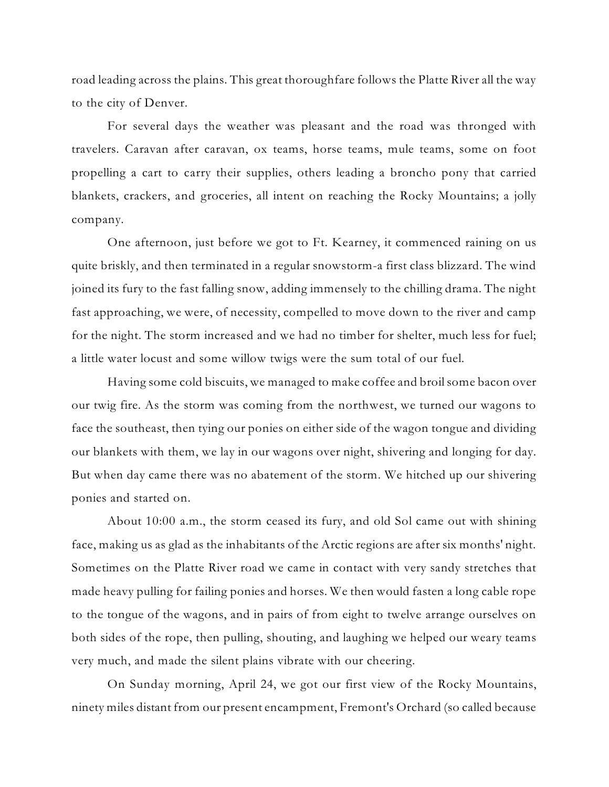road leading across the plains. This great thoroughfare follows the Platte River all the way to the city of Denver.

For several days the weather was pleasant and the road was thronged with travelers. Caravan after caravan, ox teams, horse teams, mule teams, some on foot propelling a cart to carry their supplies, others leading a broncho pony that carried blankets, crackers, and groceries, all intent on reaching the Rocky Mountains; a jolly company.

One afternoon, just before we got to Ft. Kearney, it commenced raining on us quite briskly, and then terminated in a regular snowstorm-a first class blizzard. The wind joined its fury to the fast falling snow, adding immensely to the chilling drama. The night fast approaching, we were, of necessity, compelled to move down to the river and camp for the night. The storm increased and we had no timber for shelter, much less for fuel; a little water locust and some willow twigs were the sum total of our fuel.

Having some cold biscuits, we managed to make coffee and broilsome bacon over our twig fire. As the storm was coming from the northwest, we turned our wagons to face the southeast, then tying our ponies on either side of the wagon tongue and dividing our blankets with them, we lay in our wagons over night, shivering and longing for day. But when day came there was no abatement of the storm. We hitched up our shivering ponies and started on.

About 10:00 a.m., the storm ceased its fury, and old Sol came out with shining face, making us as glad as the inhabitants of the Arctic regions are after six months' night. Sometimes on the Platte River road we came in contact with very sandy stretches that made heavy pulling for failing ponies and horses. We then would fasten a long cable rope to the tongue of the wagons, and in pairs of from eight to twelve arrange ourselves on both sides of the rope, then pulling, shouting, and laughing we helped our weary teams very much, and made the silent plains vibrate with our cheering.

On Sunday morning, April 24, we got our first view of the Rocky Mountains, ninety miles distant from our present encampment, Fremont's Orchard (so called because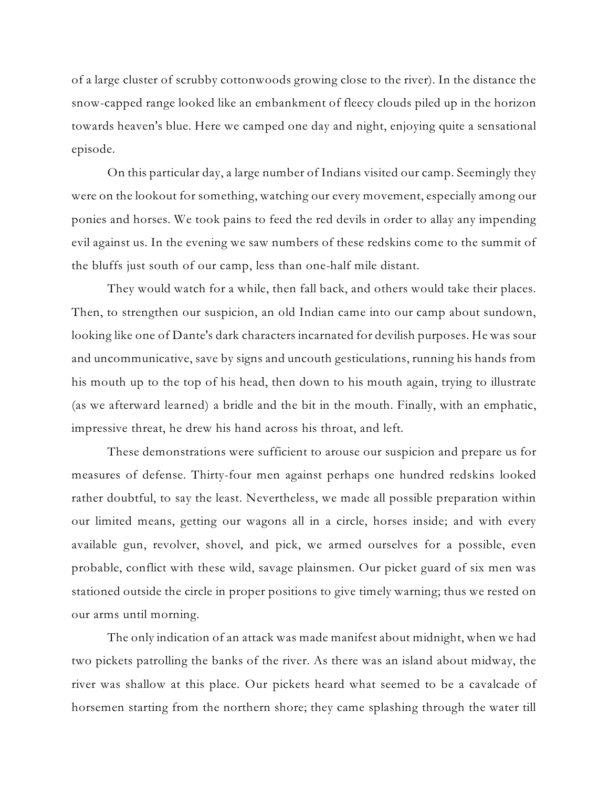of a large cluster of scrubby cottonwoods growing close to the river). In the distance the snow-capped range looked like an embankment of fleecy clouds piled up in the horizon towards heaven's blue. Here we camped one day and night, enjoying quite a sensational episode.

On this particular day, a large number of Indians visited our camp. Seemingly they were on the lookout for something, watching our every movement, especially among our ponies and horses. We took pains to feed the red devils in order to allay any impending evil against us. In the evening we saw numbers of these redskins come to the summit of the bluffs just south of our camp, less than one-half mile distant.

They would watch for a while, then fall back, and others would take their places. Then, to strengthen our suspicion, an old Indian came into our camp about sundown, looking like one of Dante's dark characters incarnated for devilish purposes. He was sour and uncommunicative, save by signs and uncouth gesticulations, running his hands from his mouth up to the top of his head, then down to his mouth again, trying to illustrate (as we afterward learned) a bridle and the bit in the mouth. Finally, with an emphatic, impressive threat, he drew his hand across his throat, and left.

These demonstrations were sufficient to arouse our suspicion and prepare us for measures of defense. Thirty-four men against perhaps one hundred redskins looked rather doubtful, to say the least. Nevertheless, we made all possible preparation within our limited means, getting our wagons all in a circle, horses inside; and with every available gun, revolver, shovel, and pick, we armed ourselves for a possible, even probable, conflict with these wild, savage plainsmen. Our picket guard of six men was stationed outside the circle in proper positions to give timely warning; thus we rested on our arms until morning.

The only indication of an attack was made manifest about midnight, when we had two pickets patrolling the banks of the river. As there was an island about midway, the river was shallow at this place. Our pickets heard what seemed to be a cavalcade of horsemen starting from the northern shore; they came splashing through the water till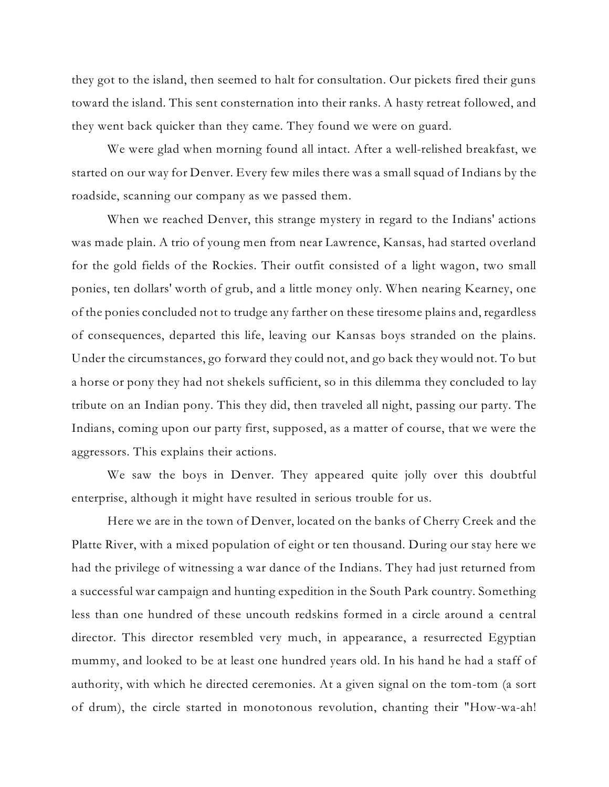they got to the island, then seemed to halt for consultation. Our pickets fired their guns toward the island. This sent consternation into their ranks. A hasty retreat followed, and they went back quicker than they came. They found we were on guard.

We were glad when morning found all intact. After a well-relished breakfast, we started on our way for Denver. Every few miles there was a small squad of Indians by the roadside, scanning our company as we passed them.

When we reached Denver, this strange mystery in regard to the Indians' actions was made plain. A trio of young men from near Lawrence, Kansas, had started overland for the gold fields of the Rockies. Their outfit consisted of a light wagon, two small ponies, ten dollars' worth of grub, and a little money only. When nearing Kearney, one of the ponies concluded not to trudge any farther on these tiresome plains and, regardless of consequences, departed this life, leaving our Kansas boys stranded on the plains. Under the circumstances, go forward they could not, and go back they would not. To but a horse or pony they had not shekels sufficient, so in this dilemma they concluded to lay tribute on an Indian pony. This they did, then traveled all night, passing our party. The Indians, coming upon our party first, supposed, as a matter of course, that we were the aggressors. This explains their actions.

We saw the boys in Denver. They appeared quite jolly over this doubtful enterprise, although it might have resulted in serious trouble for us.

Here we are in the town of Denver, located on the banks of Cherry Creek and the Platte River, with a mixed population of eight or ten thousand. During our stay here we had the privilege of witnessing a war dance of the Indians. They had just returned from a successful war campaign and hunting expedition in the South Park country. Something less than one hundred of these uncouth redskins formed in a circle around a central director. This director resembled very much, in appearance, a resurrected Egyptian mummy, and looked to be at least one hundred years old. In his hand he had a staff of authority, with which he directed ceremonies. At a given signal on the tom-tom (a sort of drum), the circle started in monotonous revolution, chanting their "How-wa-ah!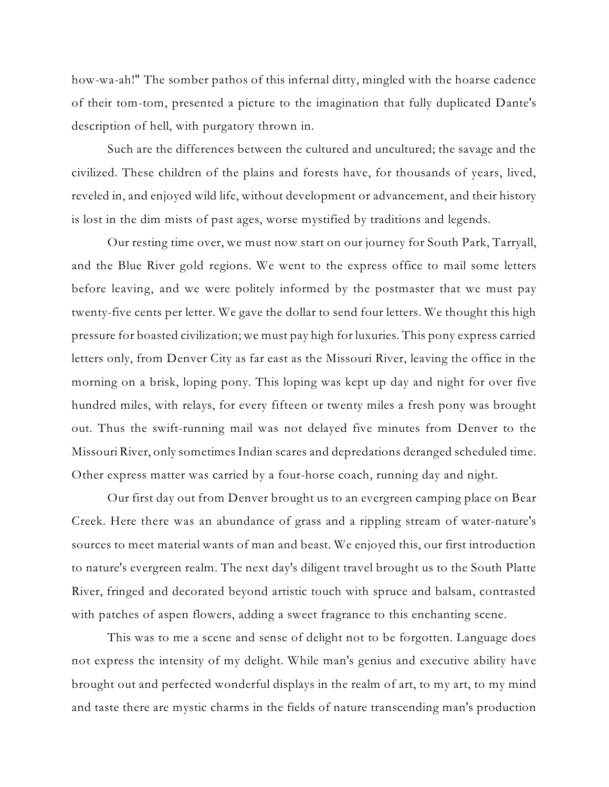how-wa-ah!" The somber pathos of this infernal ditty, mingled with the hoarse cadence of their tom-tom, presented a picture to the imagination that fully duplicated Dante's description of hell, with purgatory thrown in.

Such are the differences between the cultured and uncultured; the savage and the civilized. These children of the plains and forests have, for thousands of years, lived, reveled in, and enjoyed wild life, without development or advancement, and their history is lost in the dim mists of past ages, worse mystified by traditions and legends.

Our resting time over, we must now start on our journey for South Park, Tarryall, and the Blue River gold regions. We went to the express office to mail some letters before leaving, and we were politely informed by the postmaster that we must pay twenty-five cents per letter. We gave the dollar to send four letters. We thought this high pressure for boasted civilization; we must pay high for luxuries. This pony express carried letters only, from Denver City as far east as the Missouri River, leaving the office in the morning on a brisk, loping pony. This loping was kept up day and night for over five hundred miles, with relays, for every fifteen or twenty miles a fresh pony was brought out. Thus the swift-running mail was not delayed five minutes from Denver to the Missouri River, only sometimes Indian scares and depredations deranged scheduled time. Other express matter was carried by a four-horse coach, running day and night.

Our first day out from Denver brought us to an evergreen camping place on Bear Creek. Here there was an abundance of grass and a rippling stream of water-nature's sources to meet material wants of man and beast. We enjoyed this, our first introduction to nature's evergreen realm. The next day's diligent travel brought us to the South Platte River, fringed and decorated beyond artistic touch with spruce and balsam, contrasted with patches of aspen flowers, adding a sweet fragrance to this enchanting scene.

This was to me a scene and sense of delight not to be forgotten. Language does not express the intensity of my delight. While man's genius and executive ability have brought out and perfected wonderful displays in the realm of art, to my art, to my mind and taste there are mystic charms in the fields of nature transcending man's production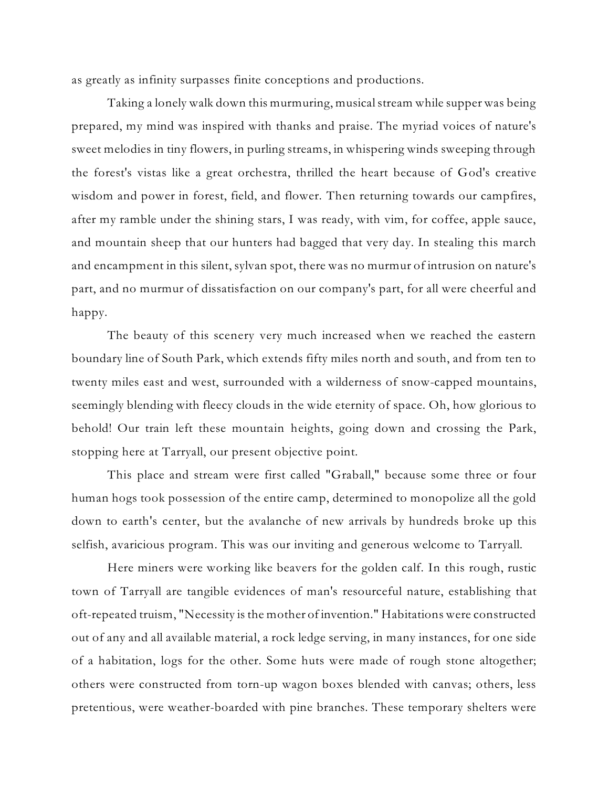as greatly as infinity surpasses finite conceptions and productions.

Taking a lonely walk down this murmuring, musicalstream while supper was being prepared, my mind was inspired with thanks and praise. The myriad voices of nature's sweet melodies in tiny flowers, in purling streams, in whispering winds sweeping through the forest's vistas like a great orchestra, thrilled the heart because of God's creative wisdom and power in forest, field, and flower. Then returning towards our campfires, after my ramble under the shining stars, I was ready, with vim, for coffee, apple sauce, and mountain sheep that our hunters had bagged that very day. In stealing this march and encampment in this silent, sylvan spot, there was no murmur of intrusion on nature's part, and no murmur of dissatisfaction on our company's part, for all were cheerful and happy.

The beauty of this scenery very much increased when we reached the eastern boundary line of South Park, which extends fifty miles north and south, and from ten to twenty miles east and west, surrounded with a wilderness of snow-capped mountains, seemingly blending with fleecy clouds in the wide eternity of space. Oh, how glorious to behold! Our train left these mountain heights, going down and crossing the Park, stopping here at Tarryall, our present objective point.

This place and stream were first called "Graball," because some three or four human hogs took possession of the entire camp, determined to monopolize all the gold down to earth's center, but the avalanche of new arrivals by hundreds broke up this selfish, avaricious program. This was our inviting and generous welcome to Tarryall.

Here miners were working like beavers for the golden calf. In this rough, rustic town of Tarryall are tangible evidences of man's resourceful nature, establishing that oft-repeated truism, "Necessity is the mother of invention." Habitations were constructed out of any and all available material, a rock ledge serving, in many instances, for one side of a habitation, logs for the other. Some huts were made of rough stone altogether; others were constructed from torn-up wagon boxes blended with canvas; others, less pretentious, were weather-boarded with pine branches. These temporary shelters were